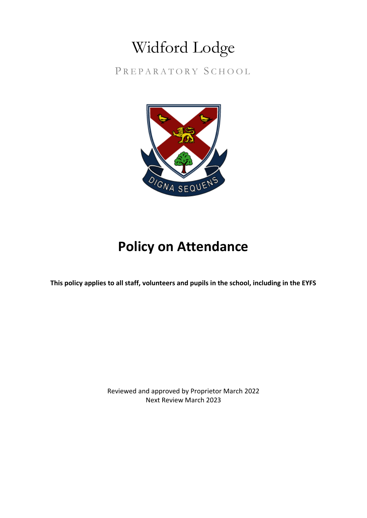## Widford Lodge

PREPARATORY SCHOOL



## **Policy on Attendance**

**This policy applies to all staff, volunteers and pupils in the school, including in the EYFS**

Reviewed and approved by Proprietor March 2022 Next Review March 2023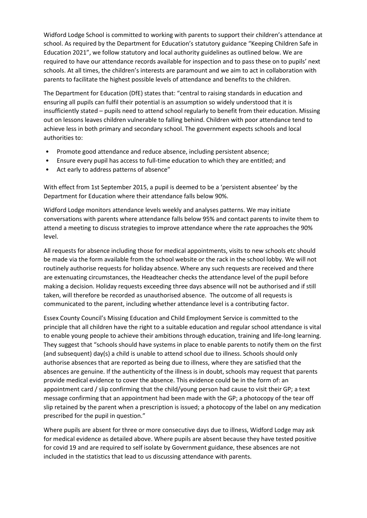Widford Lodge School is committed to working with parents to support their children's attendance at school. As required by the Department for Education's statutory guidance "Keeping Children Safe in Education 2021", we follow statutory and local authority guidelines as outlined below. We are required to have our attendance records available for inspection and to pass these on to pupils' next schools. At all times, the children's interests are paramount and we aim to act in collaboration with parents to facilitate the highest possible levels of attendance and benefits to the children.

The Department for Education (DfE) states that: "central to raising standards in education and ensuring all pupils can fulfil their potential is an assumption so widely understood that it is insufficiently stated – pupils need to attend school regularly to benefit from their education. Missing out on lessons leaves children vulnerable to falling behind. Children with poor attendance tend to achieve less in both primary and secondary school. The government expects schools and local authorities to:

- Promote good attendance and reduce absence, including persistent absence;
- Ensure every pupil has access to full-time education to which they are entitled; and
- Act early to address patterns of absence"

With effect from 1st September 2015, a pupil is deemed to be a 'persistent absentee' by the Department for Education where their attendance falls below 90%.

Widford Lodge monitors attendance levels weekly and analyses patterns. We may initiate conversations with parents where attendance falls below 95% and contact parents to invite them to attend a meeting to discuss strategies to improve attendance where the rate approaches the 90% level.

All requests for absence including those for medical appointments, visits to new schools etc should be made via the form available from the school website or the rack in the school lobby. We will not routinely authorise requests for holiday absence. Where any such requests are received and there are extenuating circumstances, the Headteacher checks the attendance level of the pupil before making a decision. Holiday requests exceeding three days absence will not be authorised and if still taken, will therefore be recorded as unauthorised absence. The outcome of all requests is communicated to the parent, including whether attendance level is a contributing factor.

Essex County Council's Missing Education and Child Employment Service is committed to the principle that all children have the right to a suitable education and regular school attendance is vital to enable young people to achieve their ambitions through education, training and life-long learning. They suggest that "schools should have systems in place to enable parents to notify them on the first (and subsequent) day(s) a child is unable to attend school due to illness. Schools should only authorise absences that are reported as being due to illness, where they are satisfied that the absences are genuine. If the authenticity of the illness is in doubt, schools may request that parents provide medical evidence to cover the absence. This evidence could be in the form of: an appointment card / slip confirming that the child/young person had cause to visit their GP; a text message confirming that an appointment had been made with the GP; a photocopy of the tear off slip retained by the parent when a prescription is issued; a photocopy of the label on any medication prescribed for the pupil in question."

Where pupils are absent for three or more consecutive days due to illness, Widford Lodge may ask for medical evidence as detailed above. Where pupils are absent because they have tested positive for covid 19 and are required to self isolate by Government guidance, these absences are not included in the statistics that lead to us discussing attendance with parents.